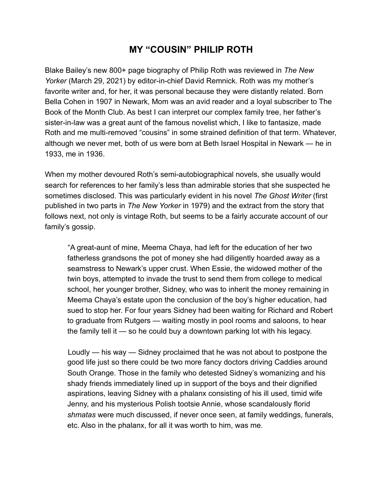## **MY "COUSIN" PHILIP ROTH**

Blake Bailey's new 800+ page biography of Philip Roth was reviewed in *The New Yorker* (March 29, 2021) by editor-in-chief David Remnick*.* Roth was my mother's favorite writer and, for her, it was personal because they were distantly related. Born Bella Cohen in 1907 in Newark, Mom was an avid reader and a loyal subscriber to The Book of the Month Club. As best I can interpret our complex family tree, her father's sister-in-law was a great aunt of the famous novelist which, I like to fantasize, made Roth and me multi-removed "cousins" in some strained definition of that term. Whatever, although we never met, both of us were born at Beth Israel Hospital in Newark — he in 1933, me in 1936.

When my mother devoured Roth's semi-autobiographical novels, she usually would search for references to her family's less than admirable stories that she suspected he sometimes disclosed. This was particularly evident in his novel *The Ghost Writer* (first published in two parts in *The New Yorker* in 1979) and the extract from the story that follows next, not only is vintage Roth, but seems to be a fairly accurate account of our family's gossip.

 "A great-aunt of mine, Meema Chaya, had left for the education of her two fatherless grandsons the pot of money she had diligently hoarded away as a seamstress to Newark's upper crust. When Essie, the widowed mother of the twin boys, attempted to invade the trust to send them from college to medical school, her younger brother, Sidney, who was to inherit the money remaining in Meema Chaya's estate upon the conclusion of the boy's higher education, had sued to stop her. For four years Sidney had been waiting for Richard and Robert to graduate from Rutgers — waiting mostly in pool rooms and saloons, to hear the family tell it — so he could buy a downtown parking lot with his legacy.

 Loudly — his way — Sidney proclaimed that he was not about to postpone the good life just so there could be two more fancy doctors driving Caddies around South Orange. Those in the family who detested Sidney's womanizing and his shady friends immediately lined up in support of the boys and their dignified aspirations, leaving Sidney with a phalanx consisting of his ill used, timid wife Jenny, and his mysterious Polish tootsie Annie, whose scandalously florid *shmatas* were much discussed, if never once seen, at family weddings, funerals, etc. Also in the phalanx, for all it was worth to him, was me.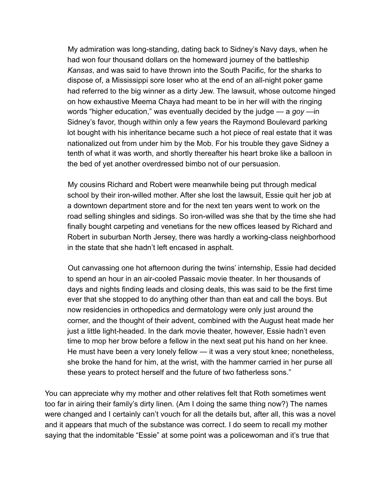My admiration was long-standing, dating back to Sidney's Navy days, when he had won four thousand dollars on the homeward journey of the battleship *Kansas*, and was said to have thrown into the South Pacific, for the sharks to dispose of, a Mississippi sore loser who at the end of an all-night poker game had referred to the big winner as a dirty Jew. The lawsuit, whose outcome hinged on how exhaustive Meema Chaya had meant to be in her will with the ringing words "higher education," was eventually decided by the judge — a *goy* —in Sidney's favor, though within only a few years the Raymond Boulevard parking lot bought with his inheritance became such a hot piece of real estate that it was nationalized out from under him by the Mob. For his trouble they gave Sidney a tenth of what it was worth, and shortly thereafter his heart broke like a balloon in the bed of yet another overdressed bimbo not of our persuasion.

 My cousins Richard and Robert were meanwhile being put through medical school by their iron-willed mother. After she lost the lawsuit, Essie quit her job at a downtown department store and for the next ten years went to work on the road selling shingles and sidings. So iron-willed was she that by the time she had finally bought carpeting and venetians for the new offices leased by Richard and Robert in suburban North Jersey, there was hardly a working-class neighborhood in the state that she hadn't left encased in asphalt.

 Out canvassing one hot afternoon during the twins' internship, Essie had decided to spend an hour in an air-cooled Passaic movie theater. In her thousands of days and nights finding leads and closing deals, this was said to be the first time ever that she stopped to do anything other than than eat and call the boys. But now residencies in orthopedics and dermatology were only just around the corner, and the thought of their advent, combined with the August heat made her just a little light-headed. In the dark movie theater, however, Essie hadn't even time to mop her brow before a fellow in the next seat put his hand on her knee. He must have been a very lonely fellow — it was a very stout knee; nonetheless, she broke the hand for him, at the wrist, with the hammer carried in her purse all these years to protect herself and the future of two fatherless sons."

You can appreciate why my mother and other relatives felt that Roth sometimes went too far in airing their family's dirty linen. (Am I doing the same thing now?) The names were changed and I certainly can't vouch for all the details but, after all, this was a novel and it appears that much of the substance was correct. I do seem to recall my mother saying that the indomitable "Essie" at some point was a policewoman and it's true that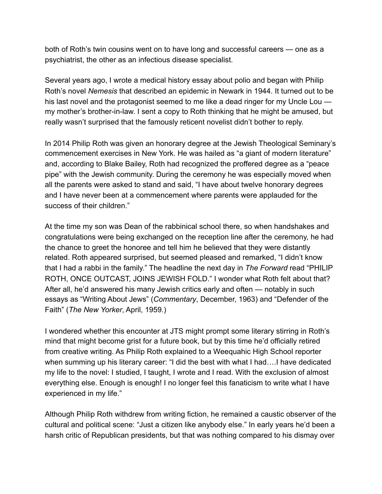both of Roth's twin cousins went on to have long and successful careers — one as a psychiatrist, the other as an infectious disease specialist.

Several years ago, I wrote a medical history essay about polio and began with Philip Roth's novel *Nemesis* that described an epidemic in Newark in 1944. It turned out to be his last novel and the protagonist seemed to me like a dead ringer for my Uncle Lou my mother's brother-in-law. I sent a copy to Roth thinking that he might be amused, but really wasn't surprised that the famously reticent novelist didn't bother to reply.

In 2014 Philip Roth was given an honorary degree at the Jewish Theological Seminary's commencement exercises in New York. He was hailed as "a giant of modern literature" and, according to Blake Bailey, Roth had recognized the proffered degree as a "peace pipe" with the Jewish community. During the ceremony he was especially moved when all the parents were asked to stand and said, "I have about twelve honorary degrees and I have never been at a commencement where parents were applauded for the success of their children."

At the time my son was Dean of the rabbinical school there, so when handshakes and congratulations were being exchanged on the reception line after the ceremony, he had the chance to greet the honoree and tell him he believed that they were distantly related. Roth appeared surprised, but seemed pleased and remarked, "I didn't know that I had a rabbi in the family." The headline the next day in *The Forward* read "PHILIP ROTH, ONCE OUTCAST, JOINS JEWISH FOLD." I wonder what Roth felt about that? After all, he'd answered his many Jewish critics early and often — notably in such essays as "Writing About Jews" (*Commentary*, December, 1963) and "Defender of the Faith" (*The New Yorker*, April, 1959.)

I wondered whether this encounter at JTS might prompt some literary stirring in Roth's mind that might become grist for a future book, but by this time he'd officially retired from creative writing. As Philip Roth explained to a Weequahic High School reporter when summing up his literary career: "I did the best with what I had....I have dedicated my life to the novel: I studied, I taught, I wrote and I read. With the exclusion of almost everything else. Enough is enough! I no longer feel this fanaticism to write what I have experienced in my life."

Although Philip Roth withdrew from writing fiction, he remained a caustic observer of the cultural and political scene: "Just a citizen like anybody else." In early years he'd been a harsh critic of Republican presidents, but that was nothing compared to his dismay over